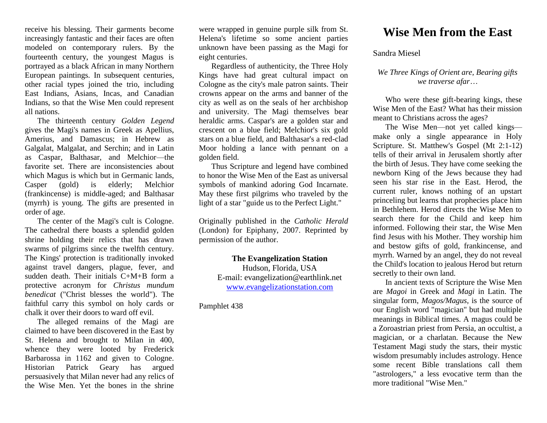receive his blessing. Their garments become increasingly fantastic and their faces are often modeled on contemporary rulers. By the fourteenth century, the youngest Magus is portrayed as a black African in many Northern European paintings. In subsequent centuries, other racial types joined the trio, including East Indians, Asians, Incas, and Canadian Indians, so that the Wise Men could represent all nations.

The thirteenth century *Golden Legend*  gives the Magi's names in Greek as Apellius, Amerius, and Damascus; in Hebrew as Galgalat, Malgalat, and Serchin; and in Latin as Caspar, Balthasar, and Melchior—the favorite set. There are inconsistencies about which Magus is which but in Germanic lands, Casper (gold) is elderly; Melchior (frankincense) is middle-aged; and Balthasar (myrrh) is young. The gifts are presented in order of age.

The center of the Magi's cult is Cologne. The cathedral there boasts a splendid golden shrine holding their relics that has drawn swarms of pilgrims since the twelfth century. The Kings' protection is traditionally invoked against travel dangers, plague, fever, and sudden death. Their initials C+M+B form a protective acronym for *Christus mundum benedicat* ("Christ blesses the world"). The faithful carry this symbol on holy cards or chalk it over their doors to ward off evil.

The alleged remains of the Magi are claimed to have been discovered in the East by St. Helena and brought to Milan in 400, whence they were looted by Frederick Barbarossa in 1162 and given to Cologne. Historian Patrick Geary has argued persuasively that Milan never had any relics of the Wise Men. Yet the bones in the shrine were wrapped in genuine purple silk from St. Helena's lifetime so some ancient parties unknown have been passing as the Magi for eight centuries.

Regardless of authenticity, the Three Holy Kings have had great cultural impact on Cologne as the city's male patron saints. Their crowns appear on the arms and banner of the city as well as on the seals of her archbishop and university. The Magi themselves bear heraldic arms. Caspar's are a golden star and crescent on a blue field; Melchior's six gold stars on a blue field, and Balthasar's a red-clad Moor holding a lance with pennant on a golden field.

Thus Scripture and legend have combined to honor the Wise Men of the East as universal symbols of mankind adoring God Incarnate. May these first pilgrims who traveled by the light of a star "guide us to the Perfect Light."

Originally published in the *Catholic Herald* (London) for Epiphany, 2007. Reprinted by permission of the author.

## **The Evangelization Station**

Hudson, Florida, USA E-mail: evangelization@earthlink.net [www.evangelizationstation.com](http://www.pjpiisoe.org/)

#### Pamphlet 438

# **Wise Men from the East**

### Sandra Miesel

### *We Three Kings of Orient are, Bearing gifts we traverse afar…*

Who were these gift-bearing kings, these Wise Men of the East? What has their mission meant to Christians across the ages?

The Wise Men—not yet called kings make only a single appearance in Holy Scripture. St. Matthew's Gospel (Mt 2:1-12) tells of their arrival in Jerusalem shortly after the birth of Jesus. They have come seeking the newborn King of the Jews because they had seen his star rise in the East. Herod, the current ruler, knows nothing of an upstart princeling but learns that prophecies place him in Bethlehem. Herod directs the Wise Men to search there for the Child and keep him informed. Following their star, the Wise Men find Jesus with his Mother. They worship him and bestow gifts of gold, frankincense, and myrrh. Warned by an angel, they do not reveal the Child's location to jealous Herod but return secretly to their own land.

In ancient texts of Scripture the Wise Men are *Magoi* in Greek and *Magi* in Latin. The singular form, *Magos/Magus,* is the source of our English word "magician" but had multiple meanings in Biblical times. A magus could be a Zoroastrian priest from Persia, an occultist, a magician, or a charlatan. Because the New Testament Magi study the stars, their mystic wisdom presumably includes astrology. Hence some recent Bible translations call them "astrologers," a less evocative term than the more traditional "Wise Men."